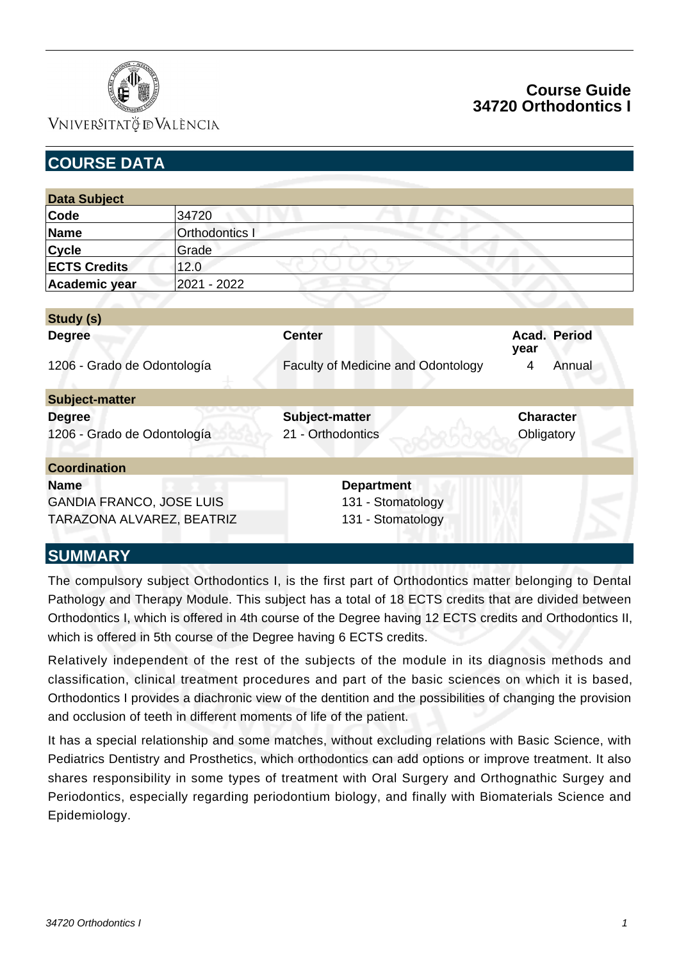

### VNIVERSITATÖ ID VALÈNCIA

# **Course Guide 34720 Orthodontics I**

| <b>COURSE DATA</b>              |                |                                    |                      |  |
|---------------------------------|----------------|------------------------------------|----------------------|--|
|                                 |                |                                    |                      |  |
| <b>Data Subject</b>             |                |                                    |                      |  |
| Code                            | 34720          |                                    |                      |  |
| <b>Name</b>                     | Orthodontics I |                                    |                      |  |
| <b>Cycle</b>                    | Grade          |                                    |                      |  |
| <b>ECTS Credits</b>             | 12.0           |                                    |                      |  |
| Academic year                   | 2021 - 2022    |                                    |                      |  |
|                                 |                |                                    |                      |  |
| Study (s)                       |                |                                    |                      |  |
| <b>Degree</b>                   |                | <b>Center</b>                      | Acad. Period<br>year |  |
| 1206 - Grado de Odontología     |                | Faculty of Medicine and Odontology | Annual<br>4          |  |
| <b>Subject-matter</b>           |                |                                    |                      |  |
| <b>Degree</b>                   |                | Subject-matter                     | <b>Character</b>     |  |
| 1206 - Grado de Odontología     |                | 21 - Orthodontics                  | Obligatory           |  |
| <b>Coordination</b>             |                |                                    |                      |  |
| <b>Name</b>                     |                | <b>Department</b>                  |                      |  |
| <b>GANDIA FRANCO, JOSE LUIS</b> |                | 131 - Stomatology                  |                      |  |
| TARAZONA ALVAREZ, BEATRIZ       |                | 131 - Stomatology                  |                      |  |
| <b>CIIMMADV</b>                 |                |                                    |                      |  |

## **SUMMARY**

The compulsory subject Orthodontics I, is the first part of Orthodontics matter belonging to Dental Pathology and Therapy Module. This subject has a total of 18 ECTS credits that are divided between Orthodontics I, which is offered in 4th course of the Degree having 12 ECTS credits and Orthodontics II, which is offered in 5th course of the Degree having 6 ECTS credits.

Relatively independent of the rest of the subjects of the module in its diagnosis methods and classification, clinical treatment procedures and part of the basic sciences on which it is based, Orthodontics I provides a diachronic view of the dentition and the possibilities of changing the provision and occlusion of teeth in different moments of life of the patient.

It has a special relationship and some matches, without excluding relations with Basic Science, with Pediatrics Dentistry and Prosthetics, which orthodontics can add options or improve treatment. It also shares responsibility in some types of treatment with Oral Surgery and Orthognathic Surgey and Periodontics, especially regarding periodontium biology, and finally with Biomaterials Science and Epidemiology.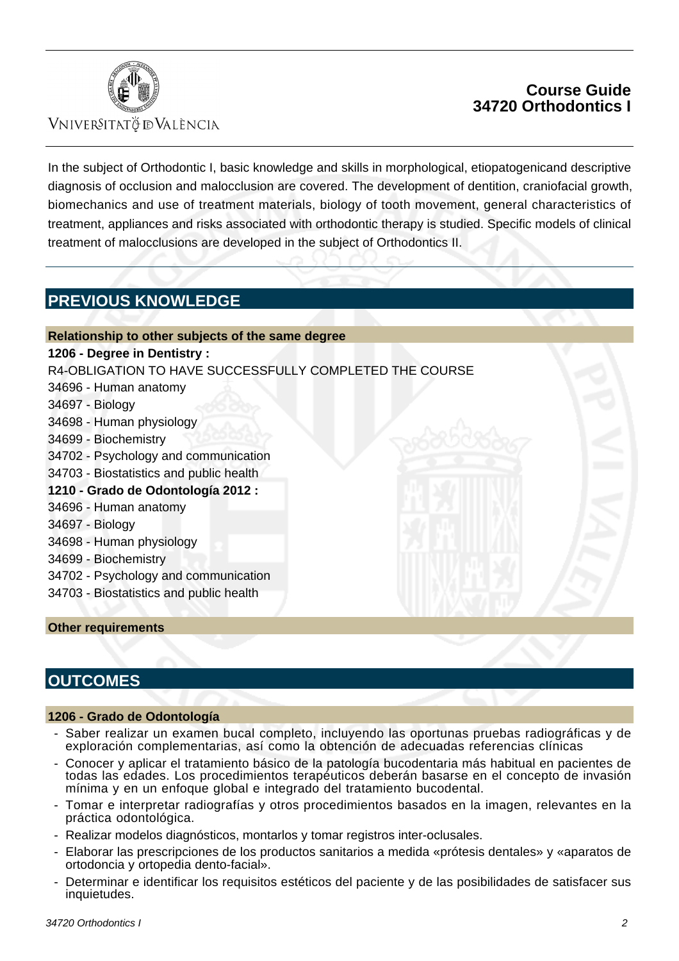

### **VNIVERSITATÖ IDVALÈNCIA**

## **Course Guide 34720 Orthodontics I**

In the subject of Orthodontic I, basic knowledge and skills in morphological, etiopatogenicand descriptive diagnosis of occlusion and malocclusion are covered. The development of dentition, craniofacial growth, biomechanics and use of treatment materials, biology of tooth movement, general characteristics of treatment, appliances and risks associated with orthodontic therapy is studied. Specific models of clinical treatment of malocclusions are developed in the subject of Orthodontics II.

# **PREVIOUS KNOWLEDGE**

#### **Relationship to other subjects of the same degree**

#### **1206 - Degree in Dentistry :**

R4-OBLIGATION TO HAVE SUCCESSFULLY COMPLETED THE COURSE

- 34696 Human anatomy
- 34697 Biology
- 34698 Human physiology
- 34699 Biochemistry
- 34702 Psychology and communication
- 34703 Biostatistics and public health
- **1210 Grado de Odontología 2012 :**
	- 34696 Human anatomy
	- 34697 Biology
	- 34698 Human physiology
	- 34699 Biochemistry
	- 34702 Psychology and communication
	- 34703 Biostatistics and public health

#### **Other requirements**

### **OUTCOMES**

#### **1206 - Grado de Odontología**

- Saber realizar un examen bucal completo, incluyendo las oportunas pruebas radiográficas y de exploración complementarias, así como la obtención de adecuadas referencias clínicas
- Conocer y aplicar el tratamiento básico de la patología bucodentaria más habitual en pacientes de todas las edades. Los procedimientos terapéuticos deberán basarse en el concepto de invasión mínima y en un enfoque global e integrado del tratamiento bucodental.
- Tomar e interpretar radiografías y otros procedimientos basados en la imagen, relevantes en la práctica odontológica.
- Realizar modelos diagnósticos, montarlos y tomar registros inter-oclusales.
- Elaborar las prescripciones de los productos sanitarios a medida «prótesis dentales» y «aparatos de ortodoncia y ortopedia dento-facial».
- Determinar e identificar los requisitos estéticos del paciente y de las posibilidades de satisfacer sus inquietudes.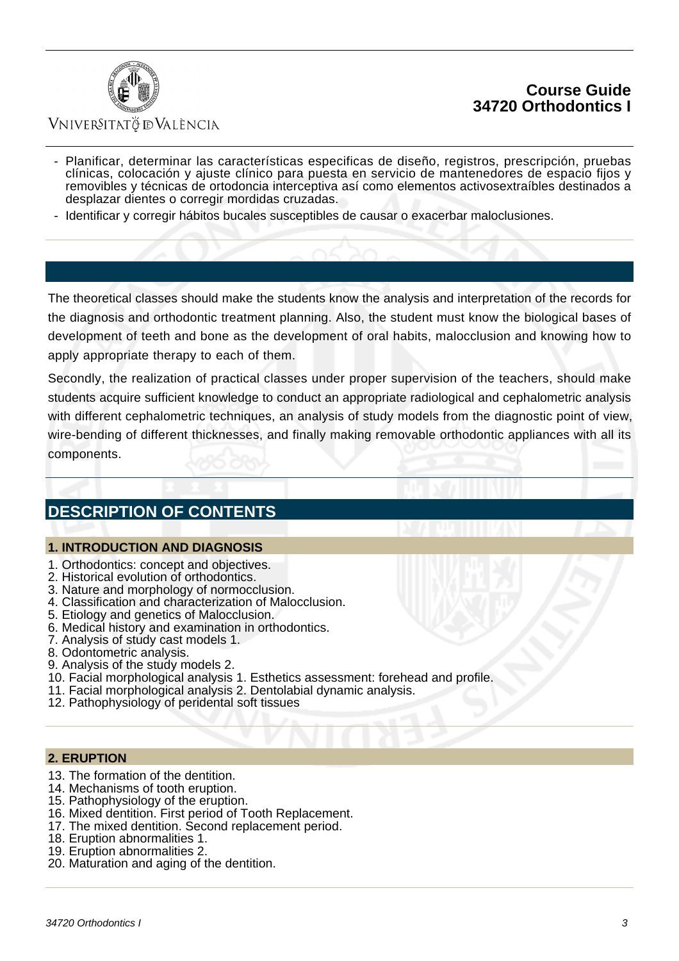



### VNIVERSITATÖ ID VALÈNCIA

- Planificar, determinar las características especificas de diseño, registros, prescripción, pruebas clínicas, colocación y ajuste clínico para puesta en servicio de mantenedores de espacio fijos y removibles y técnicas de ortodoncia interceptiva así como elementos activosextraíbles destinados a desplazar dientes o corregir mordidas cruzadas.
- Identificar y corregir hábitos bucales susceptibles de causar o exacerbar maloclusiones.

The theoretical classes should make the students know the analysis and interpretation of the records for the diagnosis and orthodontic treatment planning. Also, the student must know the biological bases of development of teeth and bone as the development of oral habits, malocclusion and knowing how to apply appropriate therapy to each of them.

Secondly, the realization of practical classes under proper supervision of the teachers, should make students acquire sufficient knowledge to conduct an appropriate radiological and cephalometric analysis with different cephalometric techniques, an analysis of study models from the diagnostic point of view, wire-bending of different thicknesses, and finally making removable orthodontic appliances with all its components.

## **DESCRIPTION OF CONTENTS**

#### **1. INTRODUCTION AND DIAGNOSIS**

- 1. Orthodontics: concept and objectives.
- 2. Historical evolution of orthodontics.
- 3. Nature and morphology of normocclusion.
- 4. Classification and characterization of Malocclusion.
- 5. Etiology and genetics of Malocclusion.
- 6. Medical history and examination in orthodontics.
- 7. Analysis of study cast models 1.
- 8. Odontometric analysis.
- 9. Analysis of the study models 2.
- 10. Facial morphological analysis 1. Esthetics assessment: forehead and profile.
- 11. Facial morphological analysis 2. Dentolabial dynamic analysis.
- 12. Pathophysiology of peridental soft tissues

#### **2. ERUPTION**

- 13. The formation of the dentition.
- 14. Mechanisms of tooth eruption.
- 15. Pathophysiology of the eruption.
- 16. Mixed dentition. First period of Tooth Replacement.
- 17. The mixed dentition. Second replacement period.
- 18. Eruption abnormalities 1.
- 19. Eruption abnormalities 2.
- 20. Maturation and aging of the dentition.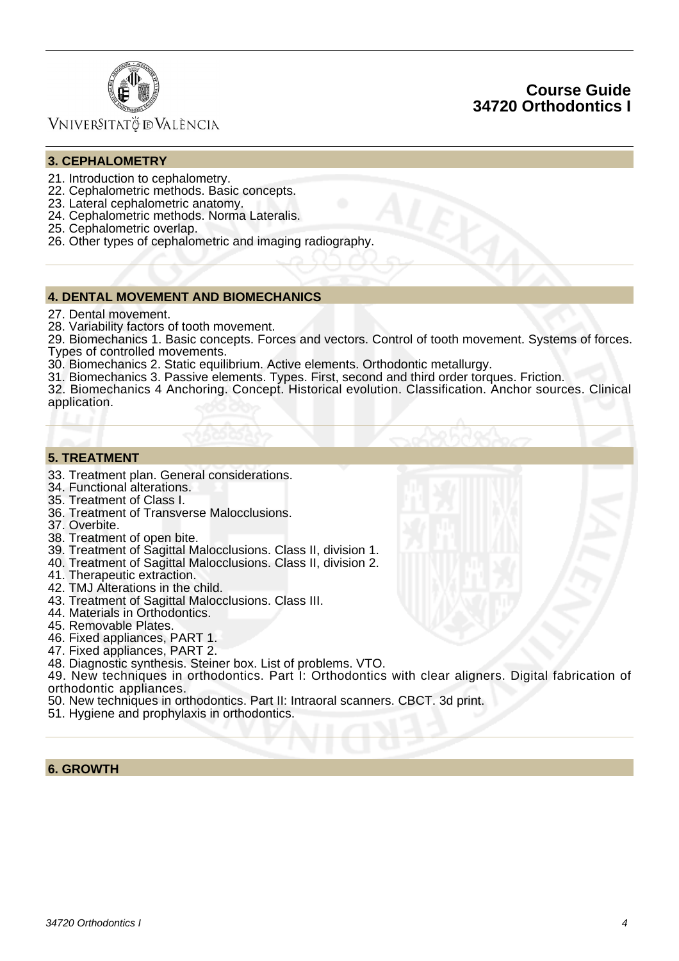



### Vniver§itatğ dValència

#### **3. CEPHALOMETRY**

- 21. Introduction to cephalometry.
- 22. Cephalometric methods. Basic concepts.
- 23. Lateral cephalometric anatomy.
- 24. Cephalometric methods. Norma Lateralis.
- 25. Cephalometric overlap.
- 26. Other types of cephalometric and imaging radiography.

#### **4. DENTAL MOVEMENT AND BIOMECHANICS**

- 27. Dental movement.
- 28. Variability factors of tooth movement.

29. Biomechanics 1. Basic concepts. Forces and vectors. Control of tooth movement. Systems of forces. Types of controlled movements.

30. Biomechanics 2. Static equilibrium. Active elements. Orthodontic metallurgy.

31. Biomechanics 3. Passive elements. Types. First, second and third order torques. Friction.

32. Biomechanics 4 Anchoring. Concept. Historical evolution. Classification. Anchor sources. Clinical application.

#### **5. TREATMENT**

- 33. Treatment plan. General considerations.
- 34. Functional alterations.
- 35. Treatment of Class I.
- 36. Treatment of Transverse Malocclusions.
- 37. Overbite.
- 38. Treatment of open bite.
- 39. Treatment of Sagittal Malocclusions. Class II, division 1.
- 40. Treatment of Sagittal Malocclusions. Class II, division 2.
- 41. Therapeutic extraction.
- 42. TMJ Alterations in the child.
- 43. Treatment of Sagittal Malocclusions. Class III.
- 44. Materials in Orthodontics.
- 45. Removable Plates.
- 46. Fixed appliances, PART 1.
- 47. Fixed appliances, PART 2.
- 48. Diagnostic synthesis. Steiner box. List of problems. VTO.

49. New techniques in orthodontics. Part I: Orthodontics with clear aligners. Digital fabrication of orthodontic appliances.

- 50. New techniques in orthodontics. Part II: Intraoral scanners. CBCT. 3d print.
- 51. Hygiene and prophylaxis in orthodontics.

**6. GROWTH**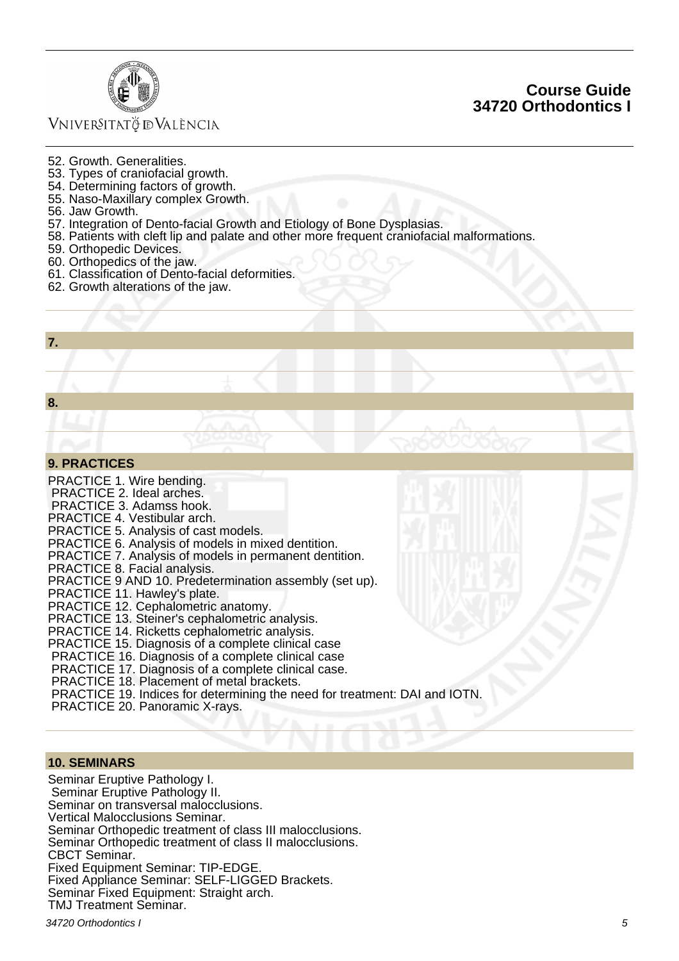

### VNIVERSITATÖ ID VALÈNCIA

### **Course Guide 34720 Orthodontics I**

- 52. Growth. Generalities.
- 53. Types of craniofacial growth.
- 54. Determining factors of growth.
- 55. Naso-Maxillary complex Growth.
- 56. Jaw Growth.
- 57. Integration of Dento-facial Growth and Etiology of Bone Dysplasias.
- 58. Patients with cleft lip and palate and other more frequent craniofacial malformations.
- 59. Orthopedic Devices.
- 60. Orthopedics of the jaw.
- 61. Classification of Dento-facial deformities.
- 62. Growth alterations of the jaw.

| <b>Service Service Service Service Service</b> | <b>Service Service</b> |
|------------------------------------------------|------------------------|
|                                                |                        |

**8.**

#### **9. PRACTICES**

PRACTICE 1. Wire bending. PRACTICE 2. Ideal arches. PRACTICE 3. Adamss hook. PRACTICE 4. Vestibular arch. PRACTICE 5. Analysis of cast models. PRACTICE 6. Analysis of models in mixed dentition. PRACTICE 7. Analysis of models in permanent dentition. PRACTICE 8. Facial analysis. PRACTICE 9 AND 10. Predetermination assembly (set up). PRACTICE 11. Hawley's plate. PRACTICE 12. Cephalometric anatomy. PRACTICE 13. Steiner's cephalometric analysis. PRACTICE 14. Ricketts cephalometric analysis. PRACTICE 15. Diagnosis of a complete clinical case PRACTICE 16. Diagnosis of a complete clinical case PRACTICE 17. Diagnosis of a complete clinical case. PRACTICE 18. Placement of metal brackets. PRACTICE 19. Indices for determining the need for treatment: DAI and IOTN. PRACTICE 20. Panoramic X-rays.

#### **10. SEMINARS**

Seminar Eruptive Pathology I. Seminar Eruptive Pathology II. Seminar on transversal malocclusions. Vertical Malocclusions Seminar. Seminar Orthopedic treatment of class III malocclusions. Seminar Orthopedic treatment of class II malocclusions. CBCT Seminar. Fixed Equipment Seminar: TIP-EDGE. Fixed Appliance Seminar: SELF-LIGGED Brackets. Seminar Fixed Equipment: Straight arch. TMJ Treatment Seminar.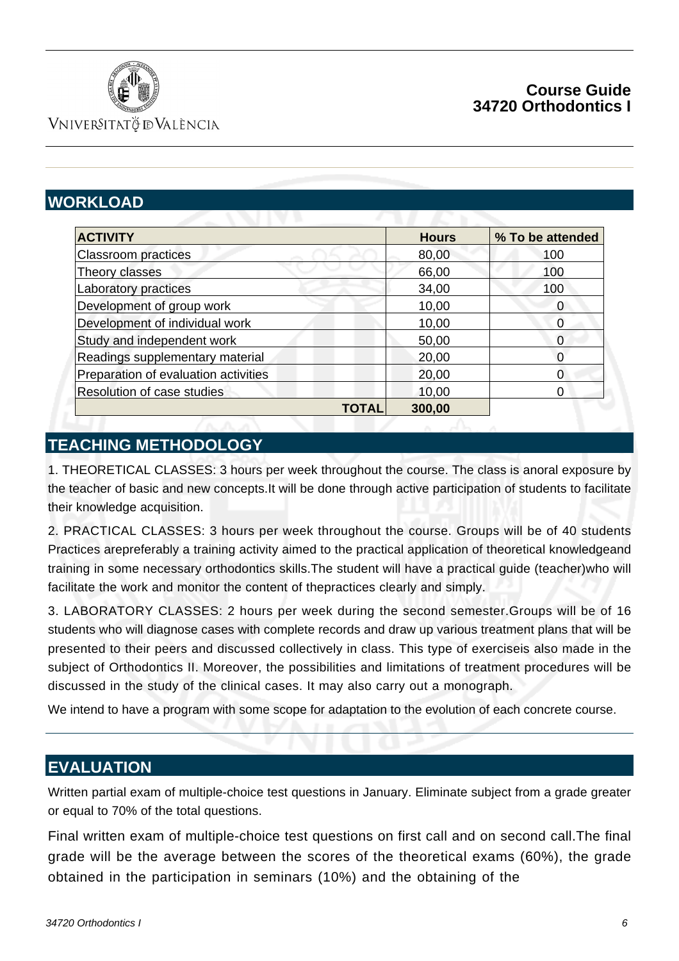

## **Course Guide 34720 Orthodontics I**

VNIVERSITATÖ IDVALÈNCIA

# **WORKLOAD**

| <b>ACTIVITY</b>                      |       | <b>Hours</b> | % To be attended |
|--------------------------------------|-------|--------------|------------------|
| <b>Classroom practices</b>           |       | 80,00        | 100              |
| Theory classes                       |       | 66,00        | 100              |
| Laboratory practices                 |       | 34,00        | 100              |
| Development of group work            |       | 10,00        | 0                |
| Development of individual work       |       | 10,00        |                  |
| Study and independent work           |       | 50,00        | 0                |
| Readings supplementary material      |       | 20,00        |                  |
| Preparation of evaluation activities |       | 20,00        | 0                |
| Resolution of case studies           |       | 10,00        | 0                |
|                                      | TOTAL | 300,00       |                  |

# **TEACHING METHODOLOGY**

1. THEORETICAL CLASSES: 3 hours per week throughout the course. The class is anoral exposure by the teacher of basic and new concepts.It will be done through active participation of students to facilitate their knowledge acquisition.

2. PRACTICAL CLASSES: 3 hours per week throughout the course. Groups will be of 40 students Practices arepreferably a training activity aimed to the practical application of theoretical knowledgeand training in some necessary orthodontics skills.The student will have a practical guide (teacher)who will facilitate the work and monitor the content of thepractices clearly and simply.

3. LABORATORY CLASSES: 2 hours per week during the second semester.Groups will be of 16 students who will diagnose cases with complete records and draw up various treatment plans that will be presented to their peers and discussed collectively in class. This type of exerciseis also made in the subject of Orthodontics II. Moreover, the possibilities and limitations of treatment procedures will be discussed in the study of the clinical cases. It may also carry out a monograph.

We intend to have a program with some scope for adaptation to the evolution of each concrete course.

## **EVALUATION**

Written partial exam of multiple-choice test questions in January. Eliminate subject from a grade greater or equal to 70% of the total questions.

Final written exam of multiple-choice test questions on first call and on second call.The final grade will be the average between the scores of the theoretical exams (60%), the grade obtained in the participation in seminars (10%) and the obtaining of the